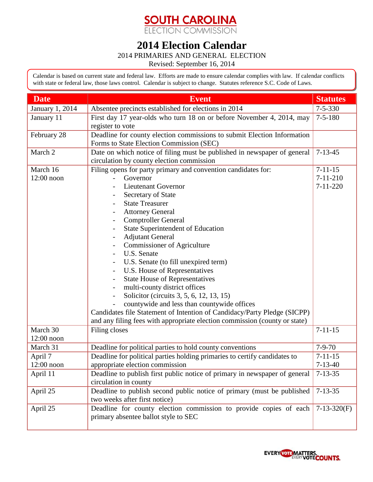## **SOUTH CAROLINA**<br>ELECTION COMMISSION

## **2014 Election Calendar**

2014 PRIMARIES AND GENERAL ELECTION

Revised: September 16, 2014

Calendar is based on current state and federal law. Efforts are made to ensure calendar complies with law. If calendar conflicts with state or federal law, those laws control. Calendar is subject to change. Statutes reference S.C. Code of Laws.

| <b>Date</b>     | <b>Event</b>                                                               | <b>Statutes</b> |
|-----------------|----------------------------------------------------------------------------|-----------------|
| January 1, 2014 | Absentee precincts established for elections in 2014                       | $7 - 5 - 330$   |
| January 11      | First day 17 year-olds who turn 18 on or before November 4, 2014, may      | $7 - 5 - 180$   |
|                 | register to vote                                                           |                 |
| February 28     | Deadline for county election commissions to submit Election Information    |                 |
|                 | Forms to State Election Commission (SEC)                                   |                 |
| March 2         | Date on which notice of filing must be published in newspaper of general   | $7 - 13 - 45$   |
|                 | circulation by county election commission                                  |                 |
| March 16        | Filing opens for party primary and convention candidates for:              | $7 - 11 - 15$   |
| $12:00$ noon    | Governor                                                                   | $7 - 11 - 210$  |
|                 | <b>Lieutenant Governor</b>                                                 | $7 - 11 - 220$  |
|                 | Secretary of State                                                         |                 |
|                 | <b>State Treasurer</b>                                                     |                 |
|                 | <b>Attorney General</b>                                                    |                 |
|                 | <b>Comptroller General</b>                                                 |                 |
|                 | <b>State Superintendent of Education</b><br>$\overline{\phantom{a}}$       |                 |
|                 | <b>Adjutant General</b><br>$\overline{\phantom{a}}$                        |                 |
|                 | <b>Commissioner of Agriculture</b>                                         |                 |
|                 | U.S. Senate                                                                |                 |
|                 | U.S. Senate (to fill unexpired term)                                       |                 |
|                 | U.S. House of Representatives                                              |                 |
|                 | <b>State House of Representatives</b>                                      |                 |
|                 | multi-county district offices                                              |                 |
|                 | Solicitor (circuits 3, 5, 6, 12, 13, 15)                                   |                 |
|                 | countywide and less than countywide offices                                |                 |
|                 | Candidates file Statement of Intention of Candidacy/Party Pledge (SICPP)   |                 |
|                 | and any filing fees with appropriate election commission (county or state) |                 |
| March 30        | Filing closes                                                              | $7 - 11 - 15$   |
| $12:00$ noon    |                                                                            |                 |
| March 31        | Deadline for political parties to hold county conventions                  | $7 - 9 - 70$    |
| April 7         | Deadline for political parties holding primaries to certify candidates to  | $7 - 11 - 15$   |
| $12:00$ noon    | appropriate election commission                                            | $7 - 13 - 40$   |
| April 11        | Deadline to publish first public notice of primary in newspaper of general | $7 - 13 - 35$   |
|                 | circulation in county                                                      |                 |
| April 25        | Deadline to publish second public notice of primary (must be published     | $7 - 13 - 35$   |
|                 | two weeks after first notice)                                              |                 |
| April 25        | Deadline for county election commission to provide copies of each          | $7-13-320(F)$   |
|                 | primary absentee ballot style to SEC                                       |                 |
|                 |                                                                            |                 |

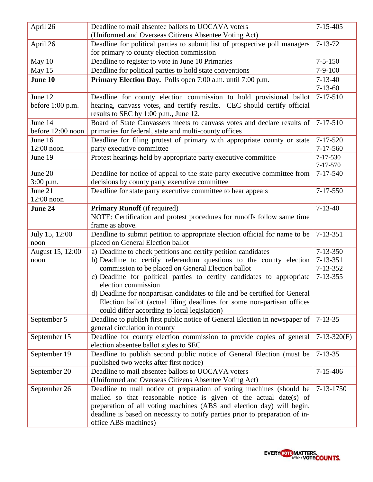| April 26           | Deadline to mail absentee ballots to UOCAVA voters                                         | $7 - 15 - 405$  |
|--------------------|--------------------------------------------------------------------------------------------|-----------------|
|                    | (Uniformed and Overseas Citizens Absentee Voting Act)                                      |                 |
| April 26           | Deadline for political parties to submit list of prospective poll managers                 | $7 - 13 - 72$   |
|                    | for primary to county election commission                                                  |                 |
| May 10             | Deadline to register to vote in June 10 Primaries                                          | $7 - 5 - 150$   |
| May 15             | Deadline for political parties to hold state conventions                                   | $7-9-100$       |
| June 10            | Primary Election Day. Polls open 7:00 a.m. until 7:00 p.m.                                 | $7 - 13 - 40$   |
|                    |                                                                                            | $7 - 13 - 60$   |
| June 12            | Deadline for county election commission to hold provisional ballot                         | $7 - 17 - 510$  |
| before $1:00$ p.m. | hearing, canvass votes, and certify results. CEC should certify official                   |                 |
|                    | results to SEC by 1:00 p.m., June 12.                                                      |                 |
| June 14            | Board of State Canvassers meets to canvass votes and declare results of                    | $7 - 17 - 510$  |
| before 12:00 noon  | primaries for federal, state and multi-county offices                                      |                 |
| June 16            | Deadline for filing protest of primary with appropriate county or state                    | $7 - 17 - 520$  |
| $12:00$ noon       | party executive committee                                                                  | $7 - 17 - 560$  |
| June 19            | Protest hearings held by appropriate party executive committee                             | 7-17-530        |
|                    |                                                                                            | 7-17-570        |
| June 20            | Deadline for notice of appeal to the state party executive committee from                  | $7 - 17 - 540$  |
| $3:00$ p.m.        | decisions by county party executive committee                                              |                 |
| June 21            | Deadline for state party executive committee to hear appeals                               | $7 - 17 - 550$  |
| 12:00 noon         |                                                                                            |                 |
| June 24            | <b>Primary Runoff</b> (if required)                                                        | $7 - 13 - 40$   |
|                    | NOTE: Certification and protest procedures for runoffs follow same time<br>frame as above. |                 |
| July 15, 12:00     | Deadline to submit petition to appropriate election official for name to be                | $7 - 13 - 351$  |
| noon               | placed on General Election ballot                                                          |                 |
| August 15, 12:00   | a) Deadline to check petitions and certify petition candidates                             | $7 - 13 - 350$  |
| noon               | b) Deadline to certify referendum questions to the county election                         | $7 - 13 - 351$  |
|                    | commission to be placed on General Election ballot                                         | 7-13-352        |
|                    | c) Deadline for political parties to certify candidates to appropriate                     | $7 - 13 - 355$  |
|                    | election commission                                                                        |                 |
|                    | d) Deadline for nonpartisan candidates to file and be certified for General                |                 |
|                    | Election ballot (actual filing deadlines for some non-partisan offices                     |                 |
|                    | could differ according to local legislation)                                               |                 |
| September 5        | Deadline to publish first public notice of General Election in newspaper of                | $7 - 13 - 35$   |
|                    | general circulation in county                                                              |                 |
| September 15       | Deadline for county election commission to provide copies of general                       | $7-13-320(F)$   |
|                    | election absentee ballot styles to SEC                                                     |                 |
| September 19       | Deadline to publish second public notice of General Election (must be                      | $7 - 13 - 35$   |
|                    | published two weeks after first notice)                                                    |                 |
| September 20       | Deadline to mail absentee ballots to UOCAVA voters                                         | $7 - 15 - 406$  |
|                    | (Uniformed and Overseas Citizens Absentee Voting Act)                                      |                 |
| September 26       | Deadline to mail notice of preparation of voting machines (should be                       | $7 - 13 - 1750$ |
|                    | mailed so that reasonable notice is given of the actual date(s) of                         |                 |
|                    | preparation of all voting machines (ABS and election day) will begin,                      |                 |
|                    | deadline is based on necessity to notify parties prior to preparation of in-               |                 |
|                    | office ABS machines)                                                                       |                 |